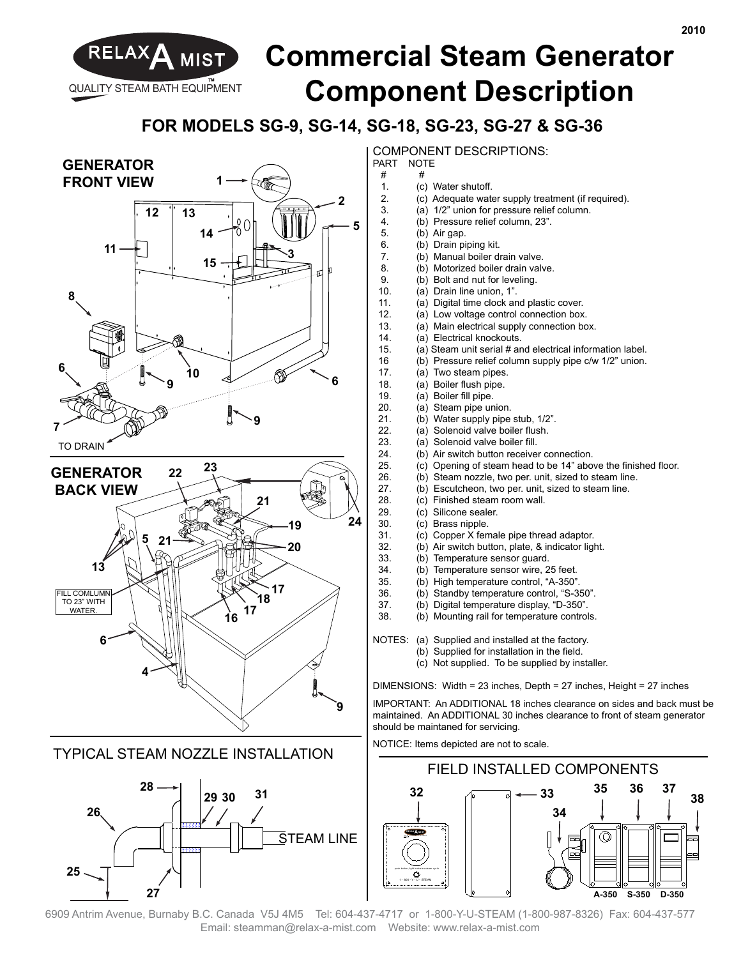

## RELAXA MIST **Commercial Steam Generator Component Description**

## **FOR MODELS SG-9, SG-14, SG-18, SG-23, SG-27 & SG-36**

 $^{\#}$ 



**25**

**27**

COMPONENT DESCRIPTIONS: PART NOTE

- 
- 1. (c) Water shutoff.<br>2. (c) Adequate wate
	- 2. (c) Adequate water supply treatment (if required).
- 3. (a) 1/2" union for pressure relief column.
- 4. (b) Pressure relief column, 23".<br>5. (b) Air gap.
- 5. (b) Air gap.<br>6. (b) Drain pi
	- (b) Drain piping kit.
- 7. (b) Manual boiler drain valve.
- 8. (b) Motorized boiler drain valve.
- 9. (b) Bolt and nut for leveling.<br>10. (a) Drain line union. 1".
	- (a) Drain line union, 1".
- 11. (a) Digital time clock and plastic cover.
- 12. (a) Low voltage control connection box.<br>13. (a) Main electrical supply connection bo
	- (a) Main electrical supply connection box.
- 14. (a) Electrical knockouts.
- 15. (a) Steam unit serial # and electrical information label.
- 16 (b) Pressure relief column supply pipe c/w 1/2" union.
- 17. (a) Two steam pipes.
- 18. (a) Boiler flush pipe.
- 19. (a) Boiler fill pipe.
- 20. (a) Steam pipe union.<br>21. (b) Water supply pipe
- 21. (b) Water supply pipe stub, 1/2".<br>22. (a) Solenoid valve boiler flush.
- 22. (a) Solenoid valve boiler flush.<br>23. (a) Solenoid valve boiler fill.
	- (a) Solenoid valve boiler fill.
- 24. (b) Air switch button receiver connection.
- 25. (c) Opening of steam head to be  $14$ " above the finished floor.<br>26. (b) Steam nozzle two per unit sized to steam line
	- (b) Steam nozzle, two per. unit, sized to steam line.
- 27. (b) Escutcheon, two per. unit, sized to steam line.
- 28. (c) Finished steam room wall.<br>29. (c) Silicone sealer. (c) Silicone sealer.
- 30. (c) Brass nipple.
- 31. (c) Copper X female pipe thread adaptor.
- 32. (b) Air switch button, plate, & indicator light.
- 33. (b) Temperature sensor guard.
- 34. (b) Temperature sensor wire, 25 feet.
- 35. (b) High temperature control, "A-350".
- 36. (b) Standby temperature control, "S-350".<br>37 (b) Digital temperature display "D-350".
- 37. (b) Digital temperature display, "D-350".
	- (b) Mounting rail for temperature controls.
- NOTES: (a) Supplied and installed at the factory.
	- (b) Supplied for installation in the field.
		- (c) Not supplied. To be supplied by installer.

DIMENSIONS: Width = 23 inches, Depth = 27 inches, Height = 27 inches

IMPORTANT: An ADDITIONAL 18 inches clearance on sides and back must be maintained. An ADDITIONAL 30 inches clearance to front of steam generator should be maintaned for servicing.

NOTICE: Items depicted are not to scale.



6909 Antrim Avenue, Burnaby B.C. Canada V5J 4M5 Tel: 604-437-4717 or 1-800-Y-U-STEAM (1-800-987-8326) Fax: 604-437-577 Email: steamman@relax-a-mist.com Website: www.relax-a-mist.com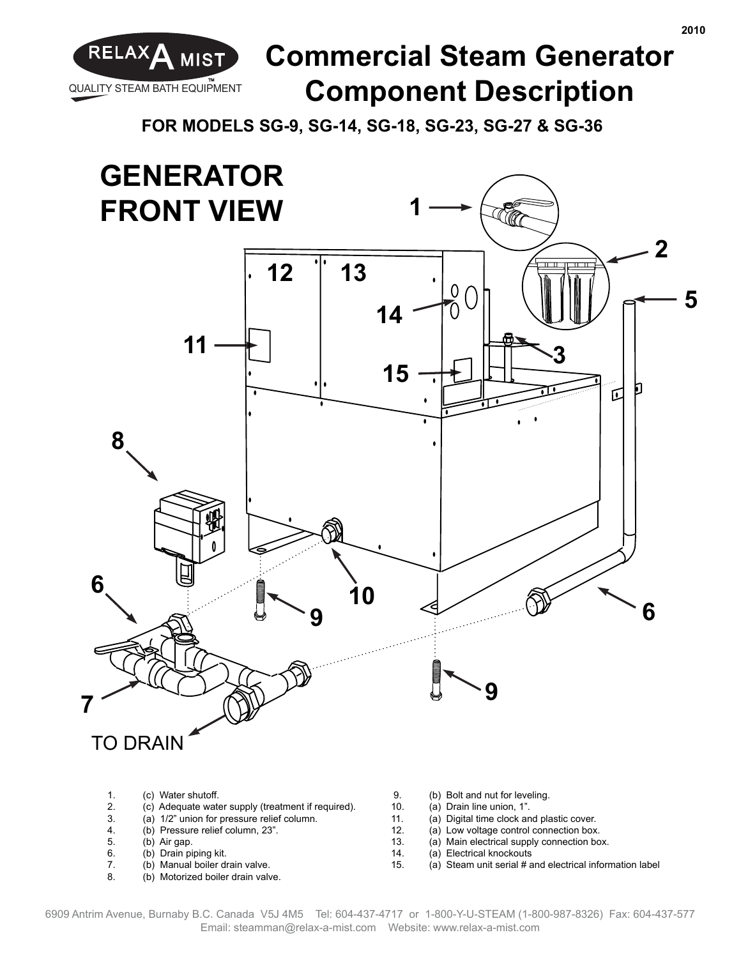

## RELAXA MIST **Commercial Steam Generator Component Description**

**FOR MODELS SG-9, SG-14, SG-18, SG-23, SG-27 & SG-36**



- (b) Drain piping kit.
- 7. (b) Manual boiler drain valve.<br>8. (b) Motorized boiler drain valv
- (b) Motorized boiler drain valve.
- (a) Electrical knockouts
- 15. (a) Steam unit serial # and electrical information label

**2010**

6909 Antrim Avenue, Burnaby B.C. Canada V5J 4M5 Tel: 604-437-4717 or 1-800-Y-U-STEAM (1-800-987-8326) Fax: 604-437-577 Email: steamman@relax-a-mist.com Website: www.relax-a-mist.com